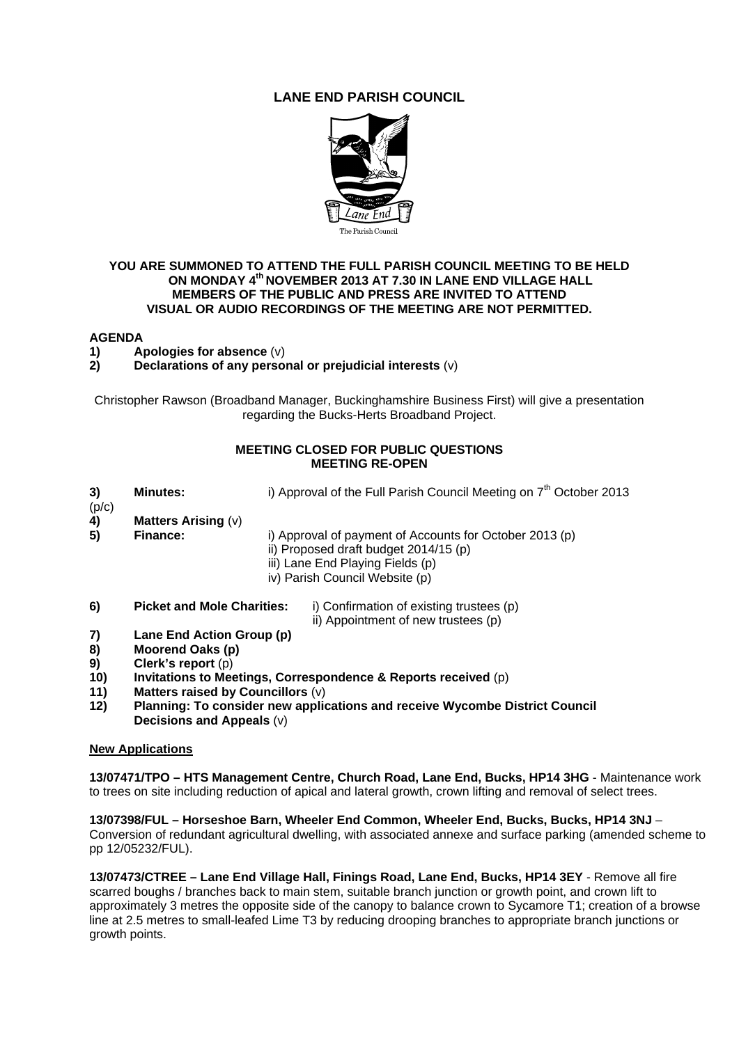# **LANE END PARISH COUNCIL**



# **YOU ARE SUMMONED TO ATTEND THE FULL PARISH COUNCIL MEETING TO BE HELD ON MONDAY 4th NOVEMBER 2013 AT 7.30 IN LANE END VILLAGE HALL MEMBERS OF THE PUBLIC AND PRESS ARE INVITED TO ATTEND VISUAL OR AUDIO RECORDINGS OF THE MEETING ARE NOT PERMITTED.**

## **AGENDA**

- **1)** Apologies for absence (v)<br>**2)** Declarations of any perso
- **2) Declarations of any personal or prejudicial interests** (v)

Christopher Rawson (Broadband Manager, Buckinghamshire Business First) will give a presentation regarding the Bucks-Herts Broadband Project.

# **MEETING CLOSED FOR PUBLIC QUESTIONS MEETING RE-OPEN**

- **3) Minutes: i)** Approval of the Full Parish Council Meeting on 7<sup>th</sup> October 2013
- (p/c)
- **4) Matters Arising** (v)
	- i) Approval of payment of Accounts for October 2013 (p)
		- ii) Proposed draft budget 2014/15 (p)
		- iii) Lane End Playing Fields (p)
		- iv) Parish Council Website (p)
- **6) Picket and Mole Charities:** i) Confirmation of existing trustees (p)
	- ii) Appointment of new trustees (p)
- **7) Lane End Action Group (p)**
- **8) Moorend Oaks (p)**
- **9) Clerk's report** (p)
- **10) Invitations to Meetings, Correspondence & Reports received** (p)
- **11) Matters raised by Councillors** (v)
- **12) Planning: To consider new applications and receive Wycombe District Council Decisions and Appeals** (v)

#### **New Applications**

**13/07471/TPO – HTS Management Centre, Church Road, Lane End, Bucks, HP14 3HG** - Maintenance work to trees on site including reduction of apical and lateral growth, crown lifting and removal of select trees.

**13/07398/FUL – Horseshoe Barn, Wheeler End Common, Wheeler End, Bucks, Bucks, HP14 3NJ** – Conversion of redundant agricultural dwelling, with associated annexe and surface parking (amended scheme to pp 12/05232/FUL).

**13/07473/CTREE – Lane End Village Hall, Finings Road, Lane End, Bucks, HP14 3EY** - Remove all fire scarred boughs / branches back to main stem, suitable branch junction or growth point, and crown lift to approximately 3 metres the opposite side of the canopy to balance crown to Sycamore T1; creation of a browse line at 2.5 metres to small-leafed Lime T3 by reducing drooping branches to appropriate branch junctions or growth points.